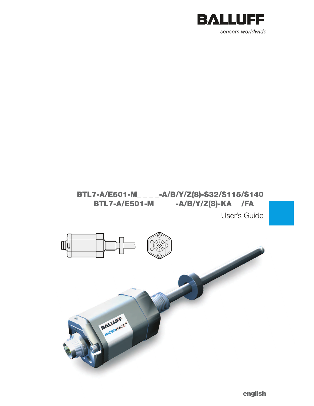

# BTL7-A/E501-M\_ \_ \_ \_-A/B/Y/Z(8)-S32/S115/S140 BTL7-A/E501-M\_ \_ \_ \_ \_-A/B/Y/Z(8)-KA\_ \_/FA\_ \_

User's Guide



english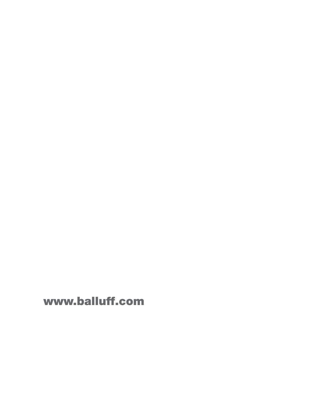www.balluff.com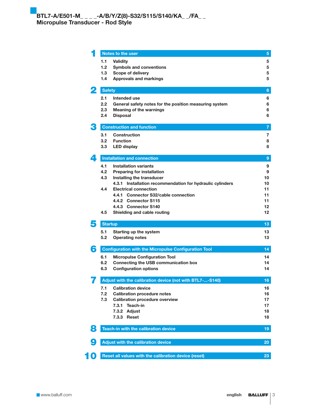|                           | Notes to the user                                             | 5 <sup>5</sup>  |
|---------------------------|---------------------------------------------------------------|-----------------|
|                           | 1.1<br><b>Validity</b>                                        | 5               |
|                           | 1.2<br><b>Symbols and conventions</b>                         | 5               |
|                           | 1.3<br>Scope of delivery                                      | 5               |
|                           | 1.4<br><b>Approvals and markings</b>                          | 5               |
|                           | <b>Safety</b>                                                 | 6               |
|                           | 2.1<br>Intended use                                           | 6               |
|                           | 2.2<br>General safety notes for the position measuring system | 6               |
|                           | 2.3<br><b>Meaning of the warnings</b>                         | 6               |
|                           | 2.4<br><b>Disposal</b>                                        | 6               |
|                           | <b>Construction and function</b>                              | $\overline{7}$  |
|                           | Construction<br>3.1                                           | 7               |
|                           | 3.2<br><b>Function</b>                                        | 8               |
|                           | 3.3<br><b>LED display</b>                                     | 8               |
| $\overline{\mathbf{A}}$ . | <b>Installation and connection</b>                            | 9               |
|                           | 4.1<br><b>Installation variants</b>                           | 9               |
|                           | 4.2<br><b>Preparing for installation</b>                      | 9               |
|                           | 4.3<br>Installing the transducer                              | 10              |
|                           | 4.3.1 Installation recommendation for hydraulic cylinders     | 10              |
|                           | 4.4<br><b>Electrical connection</b>                           | 11              |
|                           | 4.4.1 Connector S32/cable connection                          | 11              |
|                           | 4.4.2 Connector S115                                          | 11              |
|                           | 4.4.3 Connector S140                                          | 12              |
|                           | 4.5<br>Shielding and cable routing                            | 12              |
| 5                         | <b>Startup</b>                                                | 13.             |
|                           | 5.1<br>Starting up the system                                 | 13              |
|                           | 5.2<br><b>Operating notes</b>                                 | 13              |
| 6                         | <b>Configuration with the Micropulse Configuration Tool</b>   | 14 <sup>°</sup> |
|                           | 6.1<br><b>Micropulse Configuration Tool</b>                   | 14              |
|                           | 6.2<br>Connecting the USB communication box                   | 14              |
|                           | 6.3<br><b>Configuration options</b>                           | 14              |
|                           | Adjust with the calibration device (not with BTL7--S140)      | 16              |
|                           | 7.1<br><b>Calibration device</b>                              | 16              |
|                           | 7.2<br><b>Calibration procedure notes</b>                     | 16              |
|                           | 7.3<br><b>Calibration procedure overview</b>                  | 17              |
|                           | 7.3.1<br>Teach-in                                             | 17              |
|                           | 7.3.2 Adjust                                                  | 18              |
|                           | 7.3.3 Reset                                                   | 18              |
| 8                         | Teach-in with the calibration device                          | 19              |
|                           |                                                               |                 |
| 9                         | Adjust with the calibration device                            | 20              |
| 10                        | Reset all values with the calibration device (reset)          | 23              |
|                           |                                                               |                 |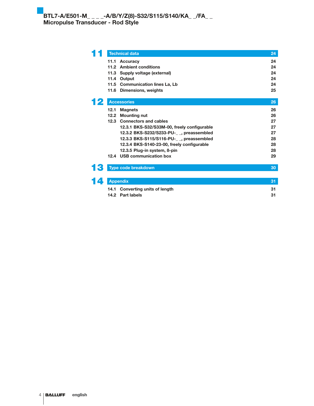|      | <b>Technical data</b>                       | 24       |
|------|---------------------------------------------|----------|
| 11.1 | <b>Accuracy</b><br>11.2 Ambient conditions  | 24<br>24 |
|      | 11.3 Supply voltage (external)              | 24       |
|      | 11.4 Output                                 | 24       |
| 11.5 | <b>Communication lines La, Lb</b>           | 24       |
| 11.6 | Dimensions, weights                         | 25       |
|      | <b>Accessories</b>                          | 26       |
| 12.1 | <b>Magnets</b>                              | 26       |
| 12.2 | <b>Mounting nut</b>                         | 26       |
|      | 12.3 Connectors and cables                  | 27       |
|      | 12.3.1 BKS-S32/S33M-00, freely configurable | 27       |
|      | 12.3.2 BKS-S232/S233-PU-__, preassembled    | 27       |
|      | 12.3.3 BKS-S115/S116-PU-__, preassembled    | 28       |
|      | 12.3.4 BKS-S140-23-00, freely configurable  | 28       |
|      | 12.3.5 Plug-in system, 8-pin                | 28       |
|      | 12.4 USB communication box                  | 29       |
|      | <b>Type code breakdown</b>                  | 30       |
|      |                                             |          |
|      | <b>Appendix</b>                             | 31       |
|      | 14.1 Converting units of length             | 31       |

14.2 Part labels 31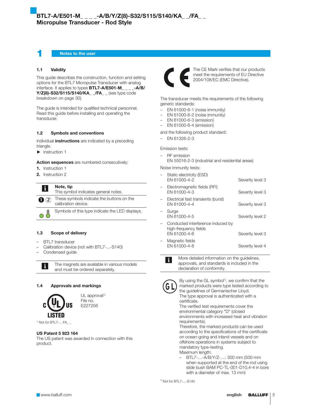Notes to the user

#### 1.1 Validity

This guide describes the construction, function and setting options for the BTL7 Micropulse Transducer with analog interface. It applies to types BTL7-A/E501-M\_ \_ \_ \_-A/B/ Y/Z(8)-S32/S115/S140/KA\_\_/FA\_\_ (see type code breakdown on page 30).

The guide is intended for qualified technical personnel. Read this guide before installing and operating the transducer.

### 1.2 Symbols and conventions

Individual *instructions* are indicated by a preceding triangle.

 $\blacktriangleright$  Instruction 1

Action sequences are numbered consecutively:

- 1. Instruction 1
- 2. Instruction 2

 $\mathbf i$ 

#### Note, tip

This symbol indicates general notes.

 $\bigcirc$  2 These symbols indicate the buttons on the calibration device.

 $\circ$   $\hat{\delta}$ Symbols of this type indicate the LED displays.

#### 1.3 Scope of delivery

- BTL7 transducer
- Calibration device (not with BTL7-...-S140)
- Condensed guide

li.

The magnets are available in various models and must be ordered separately.

#### 1.4 Approvals and markings



UL approval<sup>1)</sup> File no. E227256

<sup>1)</sup> Not for BTL7-...-FA\_ \_

#### US Patent 5 923 164

The US patent was awarded in connection with this product.



The CE Mark verifies that our products meet the requirements of EU Directive 2004/108/EC (EMC Directive).

The transducer meets the requirements of the following generic standards:

- EN 61000-6-1 (noise immunity)
- EN 61000-6-2 (noise immunity)
- EN 61000-6-3 (emission)
- EN 61000-6-4 (emission)

and the following product standard:

– EN 61326-2-3

Emission tests:

- RF emission
- EN 55016-2-3 (industrial and residential areas)

Noise immunity tests:

|   | Static electricity (ESD)<br>EN 61000-4-2                                   | Severity level 3 |
|---|----------------------------------------------------------------------------|------------------|
|   | Electromagnetic fields (RFI)<br>EN 61000-4-3                               | Severity level 3 |
| - | Electrical fast transients (burst)<br>FN 61000-4-4                         | Severity level 3 |
|   | Surge<br>EN 61000-4-5                                                      | Severity level 2 |
|   | Conducted interference induced by<br>high-frequency fields<br>FN 61000-4-6 | Severity level 3 |
|   | Magnetic fields<br>EN 61000-4-8                                            | Severity level 4 |

More detailed information on the guidelines, approvals, and standards is included in the declaration of conformity.



li.

By using the GL symbol<sup>1)</sup>, we confirm that the marked products were type tested according to the guidelines of Germanischer Lloyd. The type approval is authenticated with a certificate.

The verified test requirements cover the environmental category "D" (closed environments with increased heat and vibration requirements).

Therefore, the marked products can be used according to the specifications of the certificate on ocean-going and inland vessels and on offshore operations in systems subject to mandatory type-testing. Maximum length:

– BTL7-…-A/B/Y/Z-…: 300 mm (500 mm when supported at the end of the rod using slide bush BAM PC-TL-001-D10,4-4 in bore with a diameter of max. 13 mm)

1) Not for BTL7-...-S140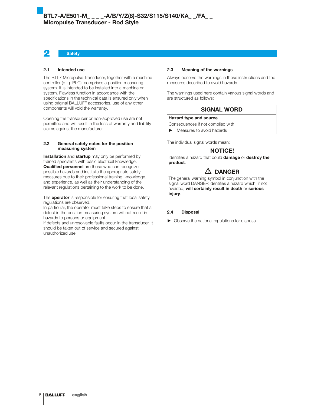# 2 Safety

#### 2.1 Intended use

The BTL7 Micropulse Transducer, together with a machine controller (e. g. PLC), comprises a position measuring system. It is intended to be installed into a machine or system. Flawless function in accordance with the specifications in the technical data is ensured only when using original BALLUFF accessories, use of any other components will void the warranty.

Opening the transducer or non-approved use are not permitted and will result in the loss of warranty and liability claims against the manufacturer.

### 2.2 General safety notes for the position measuring system

Installation and startup may only be performed by trained specialists with basic electrical knowledge. Qualified personnel are those who can recognize possible hazards and institute the appropriate safety measures due to their professional training, knowledge, and experience, as well as their understanding of the relevant regulations pertaining to the work to be done.

The **operator** is responsible for ensuring that local safety regulations are observed.

In particular, the operator must take steps to ensure that a defect in the position measuring system will not result in hazards to persons or equipment.

If defects and unresolvable faults occur in the transducer, it should be taken out of service and secured against unauthorized use.

#### 2.3 Meaning of the warnings

Always observe the warnings in these instructions and the measures described to avoid hazards.

The warnings used here contain various signal words and are structured as follows:

# SIGNAL WORD

#### Hazard type and source

Consequences if not complied with

 $\blacktriangleright$  Measures to avoid hazards

The individual signal words mean:

#### NOTICE!

Identifies a hazard that could damage or destroy the product.

# $\triangle$  DANGER

The general warning symbol in conjunction with the signal word DANGER identifies a hazard which, if not avoided, will certainly result in death or serious injury.

#### 2.4 Disposal

 $\triangleright$  Observe the national regulations for disposal.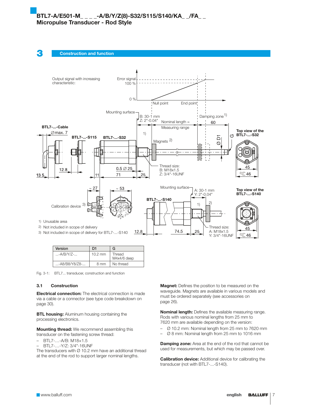



| Version         | D1        | G                     |
|-----------------|-----------|-----------------------|
| $$ -A/B/Y/Z- $$ | $10.2$ mm | Thread<br>M4x4/6 deep |
| -A8/B8/Y8/Z8-   | 8 mm      | No thread             |

Fig. 3-1: BTL7... transducer, construction and function

#### 3.1 Construction

**Electrical connection:** The electrical connection is made via a cable or a connector (see type code breakdown on page 30).

**BTL housing:** Aluminum housing containing the processing electronics.

**Mounting thread:** We recommend assembling this transducer on the fastening screw thread:

- BTL7-…-A/B: M18×1.5
- BTL7-…-Y/Z: 3/4"-16UNF

The transducers with  $\varnothing$  10.2 mm have an additional thread at the end of the rod to support larger nominal lengths.

**Magnet:** Defines the position to be measured on the waveguide. Magnets are available in various models and must be ordered separately (see accessories on page 26).

Nominal length: Defines the available measuring range. Rods with various nominal lengths from 25 mm to 7620 mm are available depending on the version:

- Ø 10.2 mm: Nominal length from 25 mm to 7620 mm
- Ø 8 mm: Nominal length from 25 mm to 1016 mm

**Damping zone:** Area at the end of the rod that cannot be used for measurements, but which may be passed over.

Calibration device: Additional device for calibrating the transducer (not with BTL7-...-S140).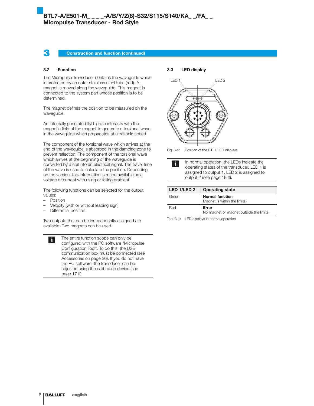### **3** Construction and function (continued)

#### 3.2 Function

The Micropulse Transducer contains the waveguide which is protected by an outer stainless steel tube (rod). A magnet is moved along the waveguide. This magnet is connected to the system part whose position is to be determined.

The magnet defines the position to be measured on the waveguide.

An internally generated INIT pulse interacts with the magnetic field of the magnet to generate a torsional wave in the waveguide which propagates at ultrasonic speed.

The component of the torsional wave which arrives at the end of the waveguide is absorbed in the damping zone to prevent reflection. The component of the torsional wave which arrives at the beginning of the waveguide is converted by a coil into an electrical signal. The travel time of the wave is used to calculate the position. Depending on the version, this information is made available as a voltage or current with rising or falling gradient.

The following functions can be selected for the output values:

**Position** 

 $\mathbf{i}$ 

- Velocity (with or without leading sign)
- Differential position

Two outputs that can be independently assigned are available. Two magnets can be used.

> The entire function scope can only be configured with the PC software "Micropulse Configuration Tool". To do this, the USB communication box must be connected (see Accessories on page 26). If you do not have the PC software, the transducer can be adjusted using the calibration device (see page 17 ff).

3.3 LED display



Fig. 3-2: Position of the BTL7 LED displays

In normal operation, the LEDs indicate the  $\mathbf i$ operating states of the transducer. LED 1 is assigned to output 1, LED 2 is assigned to output 2 (see page 19 ff).

| LED 1/LED 2 | <b>Operating state</b>                                 |
|-------------|--------------------------------------------------------|
| Green       | <b>Normal function</b><br>Magnet is within the limits. |
| Red         | Error<br>No magnet or magnet outside the limits.       |

Tab. 3-1: LED displays in normal operation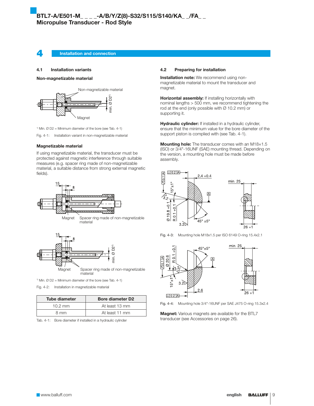**4** Installation and connection

#### 4.1 Installation variants

Non-magnetizable material



<sup>1)</sup> Min.  $\varnothing$  D2 = Minimum diameter of the bore (see Tab. 4-1)

Fig. 4-1: Installation variant in non-magnetizable material

#### Magnetizable material

If using magnetizable material, the transducer must be protected against magnetic interference through suitable measures (e.g. spacer ring made of non-magnetizable material, a suitable distance from strong external magnetic fields).





<sup>1)</sup> Min.  $\varnothing$  D2 = Minimum diameter of the bore (see Tab. 4-1)

Fig. 4-2: Installation in magnetizable material

| <b>Tube diameter</b> | <b>Bore diameter D2</b> |  |  |
|----------------------|-------------------------|--|--|
| $10.2 \, \text{mm}$  | At least 13 mm          |  |  |
| 8 mm                 | At least 11 mm          |  |  |

Tab. 4-1: Bore diameter if installed in a hydraulic cylinder

#### 4.2 Preparing for installation

**Installation note:** We recommend using nonmagnetizable material to mount the transducer and magnet.

Horizontal assembly: If installing horizontally with nominal lengths > 500 mm, we recommend tightening the rod at the end (only possible with Ø 10.2 mm) or supporting it.

Hydraulic cylinder: If installed in a hydraulic cylinder, ensure that the minimum value for the bore diameter of the support piston is complied with (see Tab. 4-1).

Mounting hole: The transducer comes with an M18×1.5 (ISO) or 3/4"-16UNF (SAE) mounting thread. Depending on the version, a mounting hole must be made before assembly.



Fig. 4-3: Mounting hole M18x1.5 per ISO 6149 O-ring 15.4x2.1



Fig. 4-4: Mounting hole 3/4"-16UNF per SAE J475 O-ring 15.3x2.4

**Magnet:** Various magnets are available for the BTL7 transducer (see Accessories on page 26).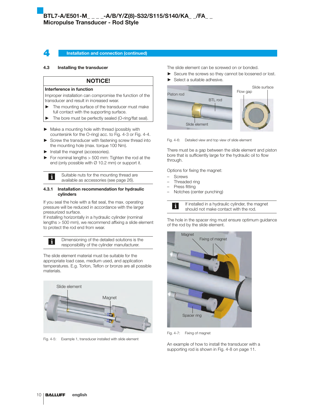#### Installation and connection (continued)

### 4.3 Installing the transducer

### NOTICE!

#### Interference in function

Improper installation can compromise the function of the transducer and result in increased wear.

- $\blacktriangleright$  The mounting surface of the transducer must make full contact with the supporting surface.
- ▶ The bore must be perfectly sealed (O-ring/flat seal).

 $\blacktriangleright$  Make a mounting hole with thread (possibly with countersink for the O-ring) acc. to Fig. 4-3 or Fig. 4-4.

- $\triangleright$  Screw the transducer with fastening screw thread into the mounting hole (max. torque 100 Nm).
- $\blacktriangleright$  Install the magnet (accessories).

 $\mathbf i$ 

 $\mathbf i$ 

 $\blacktriangleright$  For nominal lengths  $>$  500 mm: Tighten the rod at the end (only possible with  $\varnothing$  10.2 mm) or support it.

> Suitable nuts for the mounting thread are available as accessories (see page 26).

#### 4.3.1 Installation recommendation for hydraulic cylinders

If you seal the hole with a flat seal, the max. operating pressure will be reduced in accordance with the larger pressurized surface.

If installing horizontally in a hydraulic cylinder (nominal lengths > 500 mm), we recommend affixing a slide element to protect the rod end from wear.

> Dimensioning of the detailed solutions is the responsibility of the cylinder manufacturer.

The slide element material must be suitable for the appropriate load case, medium used, and application temperatures. E.g. Torlon, Teflon or bronze are all possible materials.



Fig. 4-5: Example 1, transducer installed with slide element

The slide element can be screwed on or bonded.

- $\blacktriangleright$  Secure the screws so they cannot be loosened or lost.
- Select a suitable adhesive.



Fig. 4-6: Detailed view and top view of slide element

There must be a gap between the slide element and piston bore that is sufficiently large for the hydraulic oil to flow through.

Options for fixing the magnet:

- **Screws**
- Threaded ring
- Press fitting
- Notches (center punching)



If installed in a hydraulic cylinder, the magnet should not make contact with the rod.

The hole in the spacer ring must ensure optimum guidance of the rod by the slide element.



Fig. 4-7: Fixing of magnet

An example of how to install the transducer with a supporting rod is shown in Fig. 4-8 on page 11.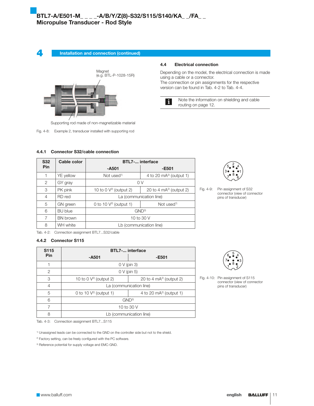4 Installation and connection (continued)



Supporting rod made of non-magnetizable material

Fig. 4-8: Example 2, transducer installed with supporting rod

#### 4.4 Electrical connection

Depending on the model, the electrical connection is made using a cable or a connector. The connection or pin assignments for the respective version can be found in Tab. 4-2 to Tab. 4-4.



Note the information on shielding and cable routing on page 12.

### 4.4.1 Connector S32/cable connection

| <b>S32</b> | Cable color     | <b>BTL7- interface</b>                                    |                          |  |  |  |
|------------|-----------------|-----------------------------------------------------------|--------------------------|--|--|--|
| <b>Pin</b> |                 | $-A501$                                                   | $-E501$                  |  |  |  |
| 1          | YE yellow       | Not used <sup>1)</sup>                                    | 4 to 20 $mA2$ (output 1) |  |  |  |
| 2          | GY gray         | 0V                                                        |                          |  |  |  |
| 3          | PK pink         | 10 to 0 $\sqrt{2}$ (output 2)<br>20 to 4 $mA2$ (output 2) |                          |  |  |  |
| 4          | RD red          | La (communication line)                                   |                          |  |  |  |
| 5          | GN green        | 0 to 10 $V2$ (output 1)<br>Not used <sup>1)</sup>         |                          |  |  |  |
| 6          | <b>BU</b> blue  | GND <sup>3</sup>                                          |                          |  |  |  |
| 7          | <b>BN</b> brown | 10 to 30 V                                                |                          |  |  |  |
| 8          | WH white        |                                                           | Lb (communication line)  |  |  |  |



Fig. 4-9: Pin assignment of S32 connector (view of connector pins of transducer)

Tab. 4-2: Connection assignment BTL7...S32/cable

# 4.4.2 Connector S115

| S115          |                                                      | <b>BTL7- interface</b>   |  |  |  |  |
|---------------|------------------------------------------------------|--------------------------|--|--|--|--|
| Pin           | $-A501$                                              | $-E501$                  |  |  |  |  |
|               |                                                      | $0 V$ (pin 3)            |  |  |  |  |
| $\mathcal{P}$ | $0 V$ (pin 5)                                        |                          |  |  |  |  |
| 3             | 10 to $0 V^{2}$ (output 2)                           | 20 to 4 $mA2$ (output 2) |  |  |  |  |
| 4             |                                                      | La (communication line)  |  |  |  |  |
| 5             | 0 to 10 $V^2$ (output 1)<br>4 to 20 $mA2$ (output 1) |                          |  |  |  |  |
| 6             | GND <sup>3</sup>                                     |                          |  |  |  |  |
|               | 10 to 30 V                                           |                          |  |  |  |  |
| 8             | Lb (communication line)                              |                          |  |  |  |  |

Fig. 4-10: Pin assignment of S115 connector (view of connector pins of transducer)

Tab. 4-3: Connection assignment BTL7...S115

1) Unassigned leads can be connected to the GND on the controller side but not to the shield.

<sup>2)</sup> Factory setting, can be freely configured with the PC software.

<sup>3)</sup> Reference potential for supply voltage and EMC-GND.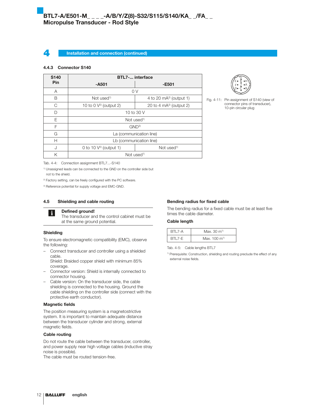#### Installation and connection (continued)

### 4.4.3 Connector S140

| S <sub>140</sub> | <b>BTL7- interface</b>                            |                                     |  |  |  |  |  |
|------------------|---------------------------------------------------|-------------------------------------|--|--|--|--|--|
| Pin              | $-A501$                                           | $-E501$                             |  |  |  |  |  |
| A                | 0 <sup>V</sup>                                    |                                     |  |  |  |  |  |
| B                | Not used <sup>1)</sup>                            | 4 to 20 mA <sup>2)</sup> (output 1) |  |  |  |  |  |
| C                | 10 to 0 $V^2$ (output 2)                          | 20 to 4 $mA2$ (output 2)            |  |  |  |  |  |
| D                |                                                   | 10 to 30 V                          |  |  |  |  |  |
| E                |                                                   | Not used <sup>1)</sup>              |  |  |  |  |  |
| F                |                                                   | $GND^{3}$                           |  |  |  |  |  |
| G                |                                                   | La (communication line)             |  |  |  |  |  |
| Н                |                                                   | Lb (communication line)             |  |  |  |  |  |
| $\cdot$          | 0 to 10 $V2$ (output 1)<br>Not used <sup>1)</sup> |                                     |  |  |  |  |  |
| Κ                | Not used <sup>1)</sup>                            |                                     |  |  |  |  |  |



Fig. 4-11: Pin assignment of S140 (view of connector pins of transducer), 10-pin circular plug

Tab. 4-4: Connection assignment BTL7...-S140

1) Unassigned leads can be connected to the GND on the controller side but not to the shield.

<sup>2)</sup> Factory setting, can be freely configured with the PC software.

3) Reference potential for supply voltage and EMC-GND.

### 4.5 Shielding and cable routing



#### Defined ground!

The transducer and the control cabinet must be at the same ground potential.

#### Shielding

To ensure electromagnetic compatibility (EMC), observe the following:

– Connect transducer and controller using a shielded cable.

Shield: Braided copper shield with minimum 85% coverage.

- Connector version: Shield is internally connected to connector housing.
- Cable version: On the transducer side, the cable shielding is connected to the housing. Ground the cable shielding on the controller side (connect with the protective earth conductor).

### Magnetic fields

The position measuring system is a magnetostrictive system. It is important to maintain adequate distance between the transducer cylinder and strong, external magnetic fields.

#### Cable routing

Do not route the cable between the transducer, controller, and power supply near high voltage cables (inductive stray noise is possible).

The cable must be routed tension-free.

### Bending radius for fixed cable

The bending radius for a fixed cable must be at least five times the cable diameter.

#### Cable length

| <b>BTI 7-A</b> | Max. $30 \text{ m}^{1}$  |
|----------------|--------------------------|
| <b>BTI 7-F</b> | Max. $100 \text{ m}^{1}$ |

Tab. 4-5: Cable lengths BTL7

1) Prerequisite: Construction, shielding and routing preclude the effect of any external noise fields.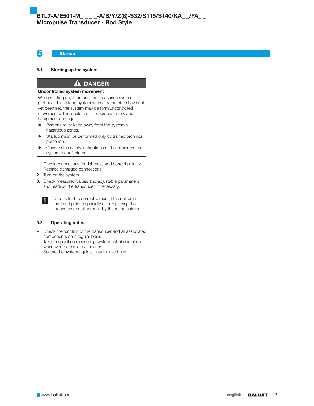5 Startup

#### 5.1 Starting up the system

# $\mathbf{A}$ Uncontrolled system movement

When starting up, if the position measuring system is part of a closed loop system whose parameters have not yet been set, the system may perform uncontrolled movements. This could result in personal injury and equipment damage.

DANGER

- Persons must keep away from the system's hazardous zones.
- $\blacktriangleright$  Startup must be performed only by trained technical personnel.
- $\triangleright$  Observe the safety instructions of the equipment or system manufacturer.
- 1. Check connections for tightness and correct polarity. Replace damaged connections.
- 2. Turn on the system.
- **3.** Check measured values and adjustable parameters and readjust the transducer, if necessary.

Check for the correct values at the null point  $|\mathbf{i}|$ and end point, especially after replacing the transducer or after repair by the manufacturer.

#### 5.2 Operating notes

- Check the function of the transducer and all associated components on a regular basis.
- Take the position measuring system out of operation whenever there is a malfunction.
- Secure the system against unauthorized use.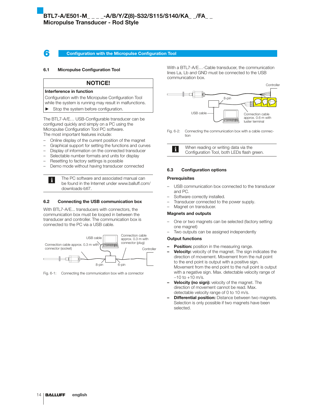### **6** Configuration with the Micropulse Configuration Tool

#### 6.1 Micropulse Configuration Tool

#### NOTICE!

#### Interference in function

- Configuration with the Micropulse Configuration Tool
- while the system is running may result in malfunctions.
- $\blacktriangleright$  Stop the system before configuration.

The BTL7-A/E… USB-Configurable transducer can be configured quickly and simply on a PC using the Micropulse Configuration Tool PC software. The most important features include:

- Online display of the current position of the magnet
- Graphical support for setting the functions and curves
- Display of information on the connected transducer
- Selectable number formats and units for display
- Resetting to factory settings is possible

i.

– Demo mode without having transducer connected

The PC software and associated manual can be found in the Internet under www.balluff.com/ downloads-btl7.

#### 6.2 Connecting the USB communication box

With BTL7-A/E... transducers with connectors, the communication box must be looped in between the transducer and controller. The communication box is connected to the PC via a USB cable.



Fig. 6-1: Connecting the communication box with a connector

With a BTL7-A/E…-Cable transducer, the communication lines La, Lb and GND must be connected to the USB communication box.



Fig. 6-2: Connecting the communication box with a cable connection



#### 6.3 Configuration options

#### **Prerequisites**

- USB communication box connected to the transducer and PC.
- Software correctly installed.
- Transducer connected to the power supply.
- Magnet on transducer.

#### Magnets and outputs

- One or two magnets can be selected (factory setting: one magnet)
- Two outputs can be assigned independently

#### Output functions

- Position: position in the measuring range.
- Velocity: velocity of the magnet. The sign indicates the direction of movement. Movement from the null point to the end point is output with a positive sign. Movement from the end point to the null point is output with a negative sign. Max. detectable velocity range of  $-10$  to  $+10$  m/s.
- **Velocity (no sign):** velocity of the magnet. The direction of movement cannot be read. Max. detectable velocity range of 0 to 10 m/s.
- **Differential position:** Distance between two magnets. Selection is only possible if two magnets have been selected.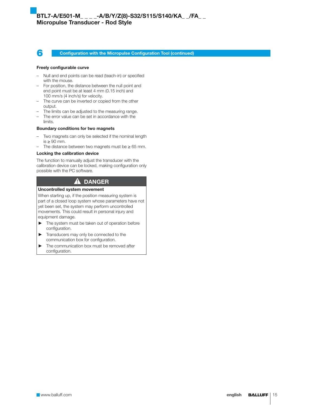6 Configuration with the Micropulse Configuration Tool (continued)

#### Freely configurable curve

- Null and end points can be read (teach-in) or specified with the mouse.
- For position, the distance between the null point and end point must be at least 4 mm (0.15 inch) and 100 mm/s (4 inch/s) for velocity.
- The curve can be inverted or copied from the other output.
- The limits can be adjusted to the measuring range.
- The error value can be set in accordance with the limits.

#### Boundary conditions for two magnets

- Two magnets can only be selected if the nominal length is ≥ 90 mm.
- The distance between two magnets must be ≥ 65 mm.

#### Locking the calibration device

The function to manually adjust the transducer with the calibration device can be locked, making configuration only possible with the PC software.

# **A** DANGER

### Uncontrolled system movement

When starting up, if the position measuring system is part of a closed loop system whose parameters have not yet been set, the system may perform uncontrolled movements. This could result in personal injury and equipment damage.

- $\blacktriangleright$  The system must be taken out of operation before configuration.
- **EXECUTE:** Transducers may only be connected to the communication box for configuration.
- $\blacktriangleright$  The communication box must be removed after configuration.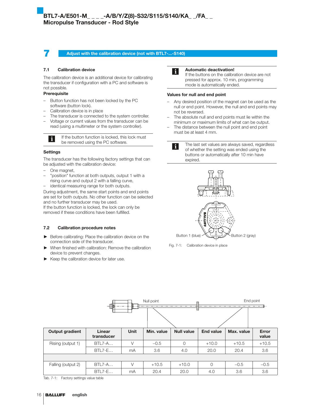### **7 Adjust with the calibration device (not with BTL7-...-S140)**

#### 7.1 Calibration device

The calibration device is an additional device for calibrating the transducer if configuration with a PC and software is not possible.

# Prerequisite

- Button function has not been locked by the PC software (button lock).
- Calibration device is in place
- The transducer is connected to the system controller.
- Voltage or current values from the transducer can be read (using a multimeter or the system controller).

If the button function is locked, this lock must  $\mathbf{i}$ be removed using the PC software.

#### Settings

The transducer has the following factory settings that can be adjusted with the calibration device:

- One magnet,
- "position" function at both outputs, output 1 with a rising curve and output 2 with a falling curve,
- identical measuring range for both outputs.

During adjustment, the same start points and end points are set for both outputs. No other function can be selected and no further transducer may be used.

If the button function is locked, the lock can only be removed if these conditions have been fulfilled.

#### 7.2 Calibration procedure notes

- Before calibrating: Place the calibration device on the connection side of the transducer.
- When finished with calibration: Remove the calibration device to prevent changes.
- Keep the calibration device for later use.



#### Automatic deactivation!

If the buttons on the calibration device are not pressed for approx. 10 min, programming mode is automatically ended.

#### Values for null and end point

- Any desired position of the magnet can be used as the null or end point. However, the null and end points may not be reversed.
- The absolute null and end points must lie within the minimum or maximum limits of what can be output.
- The distance between the null point and end point must be at least 4 mm.



The last set values are always saved, regardless of whether the setting was ended using the buttons or automatically after 10 min have expired.



Fig. 7-1: Calibration device in place

|                        | Null point           |             |            |                   |                  | End point  |                       |
|------------------------|----------------------|-------------|------------|-------------------|------------------|------------|-----------------------|
|                        |                      |             |            |                   |                  |            |                       |
| <b>Output gradient</b> | Linear<br>transducer | <b>Unit</b> | Min. value | <b>Null value</b> | <b>End value</b> | Max. value | <b>Error</b><br>value |
| Rising (output 1)      | $BTL7-A$             | V           | $-0.5$     | $\Omega$          | $+10.0$          | $+10.5$    | $+10.5$               |
|                        | $BTL7-E$             | mA          | 3.6        | 4.0               | 20.0             | 20.4       | 3.6                   |
|                        |                      |             |            |                   |                  |            |                       |
| Falling (output 2)     | <b>BTL7-A</b>        | V           | $+10.5$    | $+10.0$           | $\Omega$         | $-0.5$     | $-0.5$                |
|                        | $BTL7-E$             | mA          | 20.4       | 20.0              | 4.0              | 3.6        | 3.6                   |

Tab. 7-1: Factory settings value table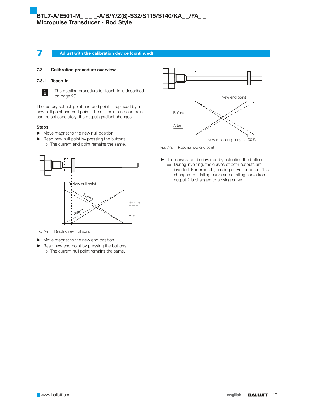### **7 Adjust with the calibration device (continued)**

#### 7.3 Calibration procedure overview

#### 7.3.1 Teach-in

The detailed procedure for teach-in is described  $\mathbf i$ on page 20.

The factory set null point and end point is replaced by a new null point and end point. The null point and end point can be set separately, the output gradient changes.

#### Steps

- $\blacktriangleright$  Move magnet to the new null position.
- $\blacktriangleright$  Read new null point by pressing the buttons.  $\Rightarrow$  The current end point remains the same.



Fig. 7-2: Reading new null point

- $\blacktriangleright$  Move magnet to the new end position.
- $\blacktriangleright$  Read new end point by pressing the buttons.  $\Rightarrow$  The current null point remains the same.



Fig. 7-3: Reading new end point

 $\blacktriangleright$  The curves can be inverted by actuating the button.  $\Rightarrow$  During inverting, the curves of both outputs are inverted. For example, a rising curve for output 1 is changed to a falling curve and a falling curve from output 2 is changed to a rising curve.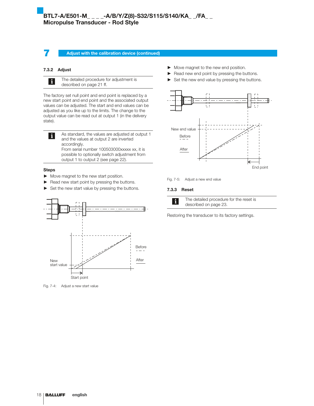# $\overline{\text{BTL7-A/E501-M}_{\_----}}$ -A/B/Y/Z(8)-S32/S115/S140/KA\_ \_/FA\_ \_ Micropulse Transducer - Rod Style

#### **7 Adjust with the calibration device (continued)**

### 7.3.2 Adjust



The detailed procedure for adjustment is described on page 21 ff.

The factory set null point and end point is replaced by a new start point and end point and the associated output values can be adjusted. The start and end values can be adjusted as you like up to the limits. The change to the output value can be read out at output 1 (in the delivery state).

As standard, the values are adjusted at output 1  $\mathbf i$ and the values at output 2 are inverted accordingly. From serial number 100503000xxxxx xx, it is possible to optionally switch adjustment from output 1 to output 2 (see page 22).

### Steps

- $\blacktriangleright$  Move magnet to the new start position.
- $\blacktriangleright$  Read new start point by pressing the buttons.
- $\blacktriangleright$  Set the new start value by pressing the buttons.



Fig. 7-4: Adjust a new start value

- $\blacktriangleright$  Move magnet to the new end position.
- $\blacktriangleright$  Read new end point by pressing the buttons.
- Set the new end value by pressing the buttons.



Fig. 7-5: Adjust a new end value

#### 7.3.3 Reset



The detailed procedure for the reset is described on page 23.

Restoring the transducer to its factory settings.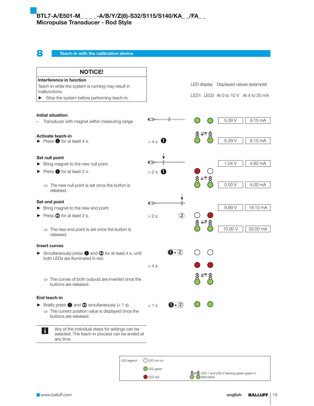# 8 Teach-in with the calibration device

| <b>NOTICE!</b>                                                                                                                                           |              |                             |         |                                        |
|----------------------------------------------------------------------------------------------------------------------------------------------------------|--------------|-----------------------------|---------|----------------------------------------|
| Interference in function                                                                                                                                 |              |                             |         |                                        |
| Teach-in while the system is running may result in                                                                                                       |              |                             |         | LED display Displayed values (example) |
| malfunctions.<br>Stop the system before performing teach-in.<br>▶                                                                                        |              |                             |         | LED1 LED2 At 0 to 10 V At 4 to 20 mA   |
|                                                                                                                                                          |              |                             |         |                                        |
| <b>Initial situation:</b>                                                                                                                                |              |                             |         |                                        |
| Transducer with magnet within measuring range                                                                                                            | ਥ⊐⊵          |                             | 5.39 V  | 9.15 mA                                |
| <b>Activate teach-in</b>                                                                                                                                 |              |                             |         |                                        |
| $\triangleright$ Press $\bigcirc$ for at least 4 s.                                                                                                      | >4s          |                             | 5.39 V  | 9.15 mA                                |
| Set null point                                                                                                                                           |              |                             |         |                                        |
| Bring magnet to the new null point.                                                                                                                      |              |                             | 1.04 V  | 4.82 mA                                |
| Press <b>O</b> for at least 2 s.                                                                                                                         | >2 s         |                             |         |                                        |
| $\Rightarrow$ The new null point is set once the button is<br>released.                                                                                  |              |                             | 0.00V   | 4.00 mA                                |
| Set end point                                                                                                                                            | ਵਾ⊳          |                             |         |                                        |
| Bring magnet to the new end point.                                                                                                                       |              |                             | 9.89 V  | 19.13 mA                               |
| Press 2 for at least 2 s.                                                                                                                                | >2s          | $\circled{2}$               |         |                                        |
| $\Rightarrow$ The new end point is set once the button is<br>released.                                                                                   |              |                             | 10.00 V | 20.00 mA                               |
| Invert curves                                                                                                                                            |              |                             |         |                                        |
| Simultaneously press <b>1</b> and 2 for at least 4 s, until<br>both LEDs are illuminated in red.                                                         |              | $\mathbf{O}$ + $(2)$        |         |                                        |
|                                                                                                                                                          | > 4s         |                             |         |                                        |
| $\Rightarrow$ The curves of both outputs are inverted once the<br>buttons are released.                                                                  |              |                             |         |                                        |
| End teach-in                                                                                                                                             |              |                             |         |                                        |
| Briefly press $\bullet$ and $\bullet$ simultaneously (< 1 s).<br>$\Rightarrow$ The current position value is displayed once the<br>buttons are released. | $< 1$ s      | $\mathbf{0}$ + $\mathbf{2}$ |         |                                        |
| Any of the individual steps for settings can be<br>$\mathbf{i}$<br>selected. The teach-in process can be ended at<br>any time.                           |              |                             |         |                                        |
|                                                                                                                                                          |              |                             |         |                                        |
| LED legend:                                                                                                                                              | ()LED not on |                             |         |                                        |
|                                                                                                                                                          | LED green    |                             |         |                                        |

 $\bigotimes^{\infty}$  LED 1 and LED 2 flashing green-green in LED red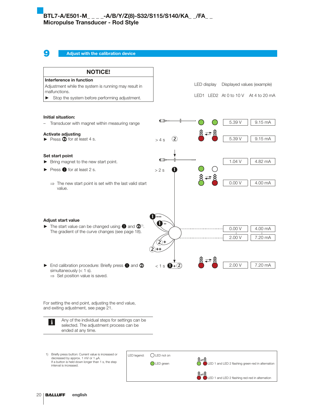Adjust with the calibration device



LED 1 and LED 2 flashing red-red in alternation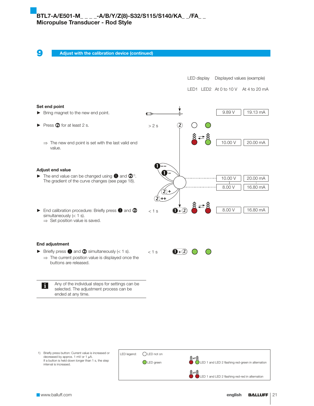Adjust with the calibration device (continued)



1) Briefly press button: Current value is increased or decreased by approx. 1 mV or 1  $\mu$ A. If a button is held down longer than 1 s, the step interval is increased.

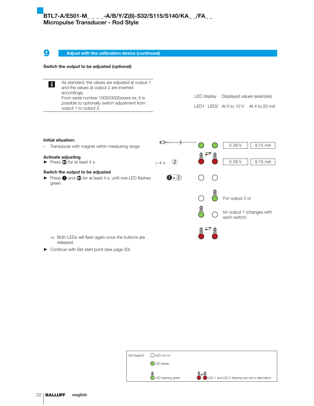**9** Adjust with the calibration device (continued)

# Switch the output to be adjusted (optional)

As standard, the values are adjusted at output 1  $\vert i \vert$ and the values at output 2 are inverted accordingly. From serial number 100503000xxxxx xx, it is possible to optionally switch adjustment from output 1 to output 2.

LED display Displayed values (example) LED1 LED2 At 0 to 10 V At 4 to 20 mA

| Initial situation:                                                                                                                     |       |                             |  |                                            |
|----------------------------------------------------------------------------------------------------------------------------------------|-------|-----------------------------|--|--------------------------------------------|
| Transducer with magnet within measuring range<br>-                                                                                     |       |                             |  | 5.39 V<br>9.15 mA                          |
| <b>Activate adjusting</b><br>$\triangleright$ Press $\oslash$ for at least 4 s.                                                        | > 4 s | $\left( 2\right)$           |  | 5.39 V<br>9.15 mA                          |
| Switch the output to be adjusted<br>$\triangleright$ Press $\bigcirc$ and $\bigcirc$ for at least 4 s, until one LED flashes<br>green. |       | $\mathbf{0}$ + $\mathbf{2}$ |  |                                            |
|                                                                                                                                        |       |                             |  | For output 2 or                            |
|                                                                                                                                        |       |                             |  | for output 1 (changes with<br>each switch) |
| Both LEDs will flash again once the buttons are<br>$\Rightarrow$<br>released.                                                          |       |                             |  |                                            |

 $\blacktriangleright$  Continue with Set start point (see page 20).

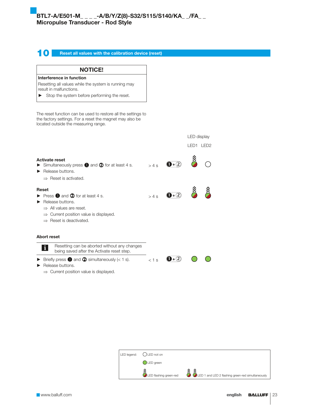# **10** Reset all values with the calibration device (reset)

NOTICE!

Interference in function

| Resetting all values while the system is running may<br>result in malfunctions.                                                                                                                                                            |         |                             |             |  |
|--------------------------------------------------------------------------------------------------------------------------------------------------------------------------------------------------------------------------------------------|---------|-----------------------------|-------------|--|
| Stop the system before performing the reset.<br>▶                                                                                                                                                                                          |         |                             |             |  |
| The reset function can be used to restore all the settings to<br>the factory settings. For a reset the magnet may also be<br>located outside the measuring range.                                                                          |         |                             |             |  |
|                                                                                                                                                                                                                                            |         |                             | LED display |  |
|                                                                                                                                                                                                                                            |         |                             | LED1 LED2   |  |
| <b>Activate reset</b><br>Simultaneously press $\bullet$ and $\bullet$ for at least 4 s.<br>Release buttons.<br>$\Rightarrow$ Reset is activated.                                                                                           | > 4s    | $\mathbf{0}$ + $\mathbf{2}$ |             |  |
| <b>Reset</b><br>$\triangleright$ Press $\bigcirc$ and $\bigcirc$ for at least 4 s.<br>Release buttons.<br>$\Rightarrow$ All values are reset.<br>$\Rightarrow$ Current position value is displayed.<br>$\Rightarrow$ Reset is deactivated. | > 4s    | $\mathbf{O}$ + $\mathbf{O}$ |             |  |
| <b>Abort reset</b>                                                                                                                                                                                                                         |         |                             |             |  |
| Resetting can be aborted without any changes<br>i<br>being saved after the Activate reset step.                                                                                                                                            |         |                             |             |  |
| Briefly press $\bullet$ and $\bullet$ simultaneously (< 1 s).<br>Release buttons.<br>$\Rightarrow$ Current position value is displayed.                                                                                                    | $< 1$ s | $\mathbf{D+}(2)$            |             |  |

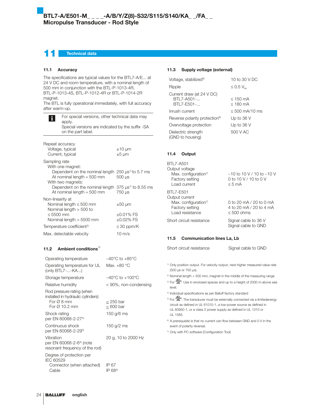# **Technical data**

#### 11.1 Accuracy

The specifications are typical values for the BTL7-A/E... at 24 V DC and room temperature, with a nominal length of 500 mm in conjunction with the BTL-P-1013-4R, BTL-P-1013-4S, BTL-P-1012-4R or BTL-P-1014-2R magnet.

The BTL is fully operational immediately, with full accuracy after warm-up.

| i                | For special versions, other technical data may<br>apply.<br>Special versions are indicated by the suffix -SA<br>on the part label. |                                 |  |
|------------------|------------------------------------------------------------------------------------------------------------------------------------|---------------------------------|--|
| Repeat accuracy  | Voltage, typical                                                                                                                   | $\pm 10 \mu m$                  |  |
|                  | Current, typical                                                                                                                   | $±5 \mu m$                      |  |
| Sampling rate    | With one magnet:                                                                                                                   |                                 |  |
|                  | Dependent on the nominal length $250 \mu s^{1}$ to 5.7 ms<br>At nominal length $=$ 500 mm<br>With two magnets:                     | $500 \mu s$                     |  |
|                  | Dependent on the nominal length $375 \mu s^{1}$ to 8.55 ms<br>At nominal length $=$ 500 mm                                         | 750 µs                          |  |
| Non-linearity at | Nominal length $\leq 500$ mm<br>Nominal length $>$ 500 to                                                                          | $\pm 50 \mu m$                  |  |
| $\leq 5500$ mm   | Nominal length > 5500 mm                                                                                                           | $\pm 0.01\%$ FS<br>$±0.02\%$ FS |  |
|                  | Temperature coefficient <sup>2)</sup>                                                                                              | $\leq$ 30 ppm/K                 |  |
|                  | Max. detectable velocity                                                                                                           | $10 \text{ m/s}$                |  |

### 11.2 Ambient conditions<sup>3)</sup>

| Operating temperature                                                                                                 | $-40^{\circ}$ C to $+85^{\circ}$ C  |
|-----------------------------------------------------------------------------------------------------------------------|-------------------------------------|
| Operating temperature for UL<br>(only BTL7--KA)                                                                       | Max. $+80^{\circ}$ C                |
| Storage temperature                                                                                                   | $-40^{\circ}$ C to $+100^{\circ}$ C |
| Relative humidity                                                                                                     | < 90%, non-condensing               |
| Rod pressure rating (when<br>installed in hydraulic cylinders)<br>For $\varnothing$ 8 mm<br>For $\varnothing$ 10.2 mm | $<$ 250 bar<br>$< 600$ bar          |
| Shock rating<br>per EN 60068-2-274)                                                                                   | 150 g/6 ms                          |
| Continuous shock<br>per EN 60068-2-294)                                                                               | 150 g/2 ms                          |
| Vibration<br>per EN 60068-2-6 <sup>4)</sup> (note<br>resonant frequency of the rod)                                   | 20 g, 10 to 2000 Hz                 |
| Degree of protection per<br>IEC 60529<br>Connector (when attached)<br>Cable                                           | IP 67<br>IP 684)                    |

### 11.3 Supply voltage (external)

| Voltage, stabilized <sup>5)</sup>                     | 10 to 30 V DC               |
|-------------------------------------------------------|-----------------------------|
| Ripple                                                | $\leq$ 0.5 V <sub>ss</sub>  |
| Current draw (at 24 V DC)<br>BTL7-A501-<br>BTL7-E501- | $<$ 150 mA<br>$\leq$ 180 mA |
| Inrush current                                        | $\leq 500$ mA/10 ms         |
| Reverse polarity protection <sup>6)</sup>             | Up to $36V$                 |
| Overvoltage protection                                | Up to 36 V                  |
| Dielectric strength<br>(GND to housing)               | 500 V AC                    |

#### 11.4 Output

| <b>BTL7-A501</b>                                                       |                                                                            |
|------------------------------------------------------------------------|----------------------------------------------------------------------------|
| Output voltage                                                         |                                                                            |
| Max. configuration <sup>7)</sup><br>Factory setting<br>Load current    | $-10$ to 10 V / 10 to $-10$ V<br>0 to 10 V / 10 to 0 V<br>$< 5 \text{ mA}$ |
| <b>BTL7-E501</b><br>Output current                                     |                                                                            |
| Max. configuration <sup>7)</sup><br>Factory setting<br>Load resistance | 0 to 20 mA / 20 to 0 mA<br>4 to 20 mA / 20 to 4 mA<br>$\leq 500$ ohms      |
| Short circuit resistance                                               | Signal cable to 36 V<br>Signal cable to GND                                |

### 11.5 Communication lines La, Lb

| Short circuit resistance | Signal cable to GND |
|--------------------------|---------------------|
|--------------------------|---------------------|

<sup>1)</sup> Only position output. For velocity output, next-higher measured value rate (500 µs or 750 µs).

- $2)$  Nominal length = 500 mm, magnet in the middle of the measuring range
- <sup>3)</sup> For  $\frac{d\mathbf{Q}_{\text{obs}}}{d\mathbf{S}_{\text{res}}}$ : Use in enclosed spaces and up to a height of 2000 m above sea level.
- 4) Individual specifications as per Balluff factory standard
- <sup>5)</sup> For  $\frac{(\mathbb{Q})_{\text{est}}}{\text{attn}}$ : The transducer must be externally connected via a limitedenergy circuit as defined in UL 61010-1, a low-power source as defined in UL 60950-1, or a class 2 power supply as defined in UL 1310 or UL 1585.
- <sup>6)</sup> A prerequisite is that no current can flow between GND and 0 V in the event of polarity reversal.
- 7) Only with PC software (Configuration Tool)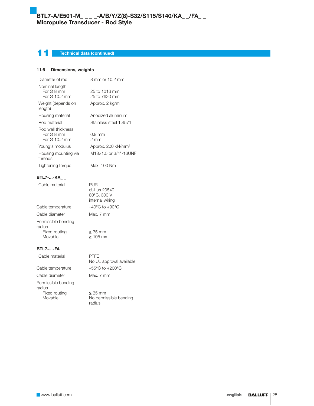# 11 Technical data (continued)

### 11.6 Dimensions, weights

| Diameter of rod                                               | 8 mm or 10.2 mm                                       |
|---------------------------------------------------------------|-------------------------------------------------------|
| Nominal length<br>For $\varnothing$ 8 mm<br>For Ø 10.2 mm     | 25 to 1016 mm<br>25 to 7620 mm                        |
| Weight (depends on<br>length)                                 | Approx. 2 kg/m                                        |
| Housing material                                              | Anodized aluminum                                     |
| Rod material                                                  | Stainless steel 1.4571                                |
| Rod wall thickness<br>For $\varnothing$ 8 mm<br>For Ø 10.2 mm | 0.9 mm<br>$2 \, \text{mm}$                            |
| Young's modulus                                               | Approx. 200 kN/mm <sup>2</sup>                        |
| Housing mounting via<br>threads                               | M18×1.5 or 3/4"-16UNF                                 |
| Tightening torque                                             | Max. 100 Nm                                           |
| BTL7-…-KA                                                     |                                                       |
| Cable material                                                | PUR<br>cULus 20549<br>80°C, 300 V,<br>internal wiring |
| Cable temperature                                             | $-40^{\circ}$ C to $+90^{\circ}$ C                    |
| Cable diameter                                                | Max. 7 mm                                             |
| Permissible bending<br>radius                                 |                                                       |
| Fixed routing<br>Movable                                      | $\geq$ 35 mm<br>$\geq 105$ mm                         |
| BTL7--FA                                                      |                                                       |
| Cable material                                                | PTFF<br>No UL approval available                      |
| Cable temperature                                             | $-55^{\circ}$ C to $+200^{\circ}$ C                   |
|                                                               |                                                       |

Cable diameter Max. 7 mm Permissible bending radius Fixed routing ≥ 35 mm<br>Movable **Drawing Strate** No permis

No permissible bending radius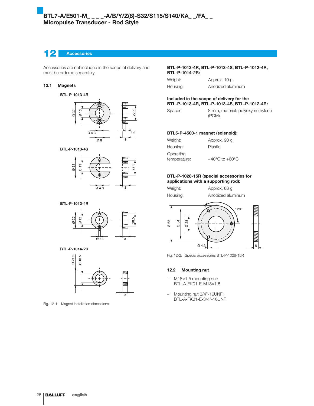# 12 Accessories

Accessories are not included in the scope of delivery and must be ordered separately.

### 12.1 Magnets

#### BTL-P-1013-4R



#### BTL-P-1013-4S



### BTL-P-1012-4R



#### BTL-P-1014-2R



Fig. 12-1: Magnet installation dimensions

#### BTL-P-1013-4R, BTL-P-1013-4S, BTL-P-1012-4R, BTL-P-1014-2R:

| Weight:  | Approx. 10 g      |
|----------|-------------------|
| Housing: | Anodized aluminum |

#### Included in the scope of delivery for the BTL-P-1013-4R, BTL-P-1013-4S, BTL-P-1012-4R:

| Spacer: | 8 mm, material: polyoxymethylene |
|---------|----------------------------------|
|         | (POM)                            |

#### BTL5-P-4500-1 magnet (solenoid):

| Weight:                   | Approx. 90 q                       |
|---------------------------|------------------------------------|
| Housing:                  | Plastic                            |
| Operating<br>temperature: | $-40^{\circ}$ C to $+60^{\circ}$ C |

#### BTL-P-1028-15R (special accessories for applications with a supporting rod):

| Weight:  |  |
|----------|--|
| Housing: |  |

Approx. 68 g Anodized aluminum



Fig. 12-2: Special accessories BTL-P-1028-15R

### 12.2 Mounting nut

- M18×1.5 mounting nut: BTL-A-FK01-E-M18×1.5
- Mounting nut 3/4"-16UNF: BTL-A-FK01-E-3/4"-16UNF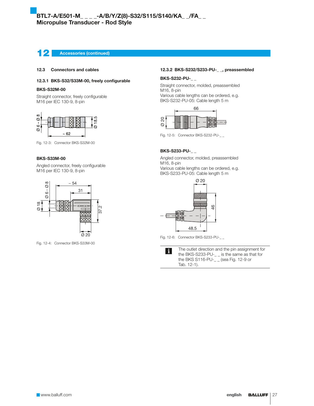# 12 Accessories (continued)

#### 12.3 Connectors and cables

#### 12.3.1 BKS-S32/S33M-00, freely configurable

#### BKS-S32M-00

Straight connector, freely configurable M16 per IEC 130-9, 8-pin



Fig. 12-3: Connector BKS-S32M-00

#### BKS-S33M-00

Angled connector, freely configurable M16 per IEC 130-9, 8-pin



Fig. 12-4: Connector BKS-S33M-00

#### 12.3.2 BKS-S232/S233-PU-\_ \_, preassembled

#### BKS-S232-PU-\_ \_

Straight connector, molded, preassembled M16, 8-pin

Various cable lengths can be ordered, e.g. BKS-S232-PU-05: Cable length 5 m



#### BKS-S233-PU-\_ \_

Angled connector, molded, preassembled M16, 8-pin Various cable lengths can be ordered, e.g. BKS-S233-PU-05: Cable length 5 m



Fig. 12-6: Connector BKS-S233-PU-\_\_

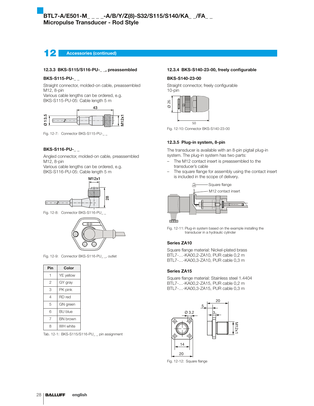Accessories (continued)

#### 12.3.3 BKS-S115/S116-PU-\_ \_, preassembled

### BKS-S115-PU-\_ \_

Straight connector, molded-on cable, preassembled M12, 8-pin

Various cable lengths can be ordered, e.g. BKS-S115-PU-05: Cable length 5 m



Fig. 12-7: Connector BKS-S115-PU-\_\_

#### BKS-S116-PU-\_ \_

Angled connector, molded-on cable, preassembled M12, 8-pin

Various cable lengths can be ordered, e.g. BKS-S116-PU-05: Cable length 5 m







Fig. 12-9: Connector BKS-S116-PU\_\_, outlet

| Pin            | Color            |
|----------------|------------------|
| 1              | <b>YE</b> yellow |
| $\overline{c}$ | GY gray          |
| 3              | PK pink          |
| 4              | RD red           |
| 5              | GN green         |
| 6              | <b>BU</b> blue   |
| 7              | <b>BN</b> brown  |
| 8              | WH white         |

Tab. 12-1: BKS-S115/S116-PU\_ \_ pin assignment

#### 12.3.4 BKS-S140-23-00, freely configurable

#### BKS-S140-23-00

Straight connector, freely configurable 10-pin



-<br>Fig. 12-10: Connector BKS-S140-23-00

#### 12.3.5 Plug-in system, 8-pin

The transducer is available with an 8-pin pigtail plug-in system. The plug-in system has two parts:

- The M12 contact insert is preassembled to the transducer's cable
- The square flange for assembly using the contact insert is included in the scope of delivery.



Fig. 12-11: Plug-in system based on the example installing the transducer in a hydraulic cylinder

### Series ZA10

Square flange material: Nickel-plated brass BTL7-…-KA00,2-ZA10, PUR cable 0,2 m BTL7-…-KA00,3-ZA10, PUR cable 0,3 m

#### Series ZA15

Square flange material: Stainless steel 1.4404 BTL7-…-KA00,2-ZA15, PUR cable 0,2 m BTL7-…-KA00,3-ZA15, PUR cable 0,3 m



Fig. 12-12: Square flange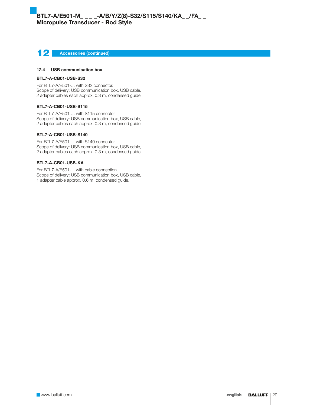# 12 Accessories (continued)

#### 12.4 USB communication box

#### BTL7-A-CB01-USB-S32

For BTL7-A/E501-... with S32 connector. Scope of delivery: USB communication box, USB cable, 2 adapter cables each approx. 0.3 m, condensed guide.

#### BTL7-A-CB01-USB-S115

For BTL7-A/E501-... with S115 connector. Scope of delivery: USB communication box, USB cable, 2 adapter cables each approx. 0.3 m, condensed guide.

### BTL7-A-CB01-USB-S140

For BTL7-A/E501-... with S140 connector. Scope of delivery: USB communication box, USB cable, 2 adapter cables each approx. 0.3 m, condensed guide.

#### BTL7-A-CB01-USB-KA

For BTL7-A/E501-... with cable connection Scope of delivery: USB communication box, USB cable, 1 adapter cable approx. 0.6 m, condensed guide.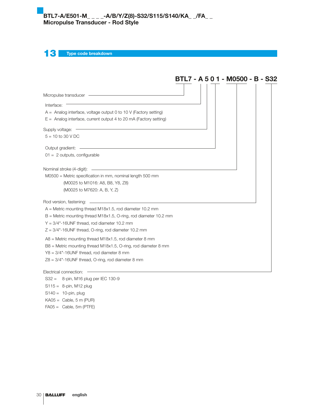13 Type code breakdown

|                                                                                                                                                                                                                                                                                                                                                | BTL7 - A 5 0 1 - M0500 - B - S32 |
|------------------------------------------------------------------------------------------------------------------------------------------------------------------------------------------------------------------------------------------------------------------------------------------------------------------------------------------------|----------------------------------|
|                                                                                                                                                                                                                                                                                                                                                |                                  |
| Interface:<br>$A =$ Analog interface, voltage output 0 to 10 V (Factory setting)<br>$E =$ Analog interface, current output 4 to 20 mA (Factory setting)                                                                                                                                                                                        |                                  |
| Supply voltage:<br>$5 = 10$ to 30 V DC                                                                                                                                                                                                                                                                                                         |                                  |
| $01 = 2$ outputs, configurable                                                                                                                                                                                                                                                                                                                 |                                  |
| $M0500$ = Metric specification in mm, nominal length 500 mm<br>(M0025 to M1016: A8, B8, Y8, Z8)<br>(M0025 to M7620: A, B, Y, Z)                                                                                                                                                                                                                |                                  |
| Rod version, fastening:<br><u> 1989 - Andrea Stadt Britain, amerikansk politiker (d. 1989)</u><br>$A =$ Metric mounting thread M18x1.5, rod diameter 10.2 mm<br>$B =$ Metric mounting thread M18x1.5, O-ring, rod diameter 10.2 mm<br>$Y = 3/4$ "-16UNF thread, rod diameter 10.2 mm<br>$Z = 3/4$ "-16UNF thread, O-ring, rod diameter 10.2 mm |                                  |
| $A8$ = Metric mounting thread M18x1.5, rod diameter 8 mm<br>B8 = Metric mounting thread M18x1.5, O-ring, rod diameter 8 mm<br>$Y8 = 3/4" - 16 \text{UNF}$ thread, rod diameter 8 mm<br>$Z8 = 3/4$ "-16UNF thread, O-ring, rod diameter 8 mm                                                                                                    |                                  |
| Electrical connection:<br>S32 = 8-pin, M16 plug per IEC 130-9                                                                                                                                                                                                                                                                                  |                                  |

S115 = 8-pin, M12 plug

 $S140 = 10$ -pin, plug

 $KAO5 =$  Cable, 5 m (PUR)

FA05 = Cable, 5m (PTFE)